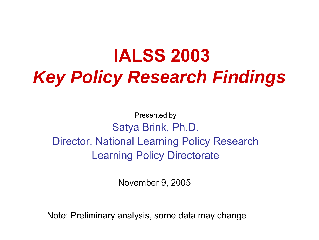# **IALSS 2003**  *Key Policy Research Findings*

Presented by Satya Brink, Ph.D. Director, National Learning Policy Research Learning Policy Directorate

November 9, 2005

Note: Preliminary analysis, some data may change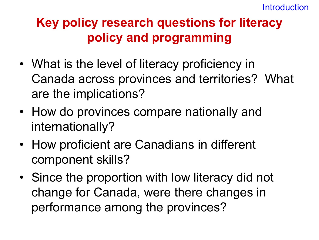# **Key policy research questions for literacy policy and programming**

- What is the level of literacy proficiency in Canada across provinces and territories? What are the implications?
- How do provinces compare nationally and internationally?
- How proficient are Canadians in different component skills?
- Since the proportion with low literacy did not change for Canada, were there changes in performance among the provinces?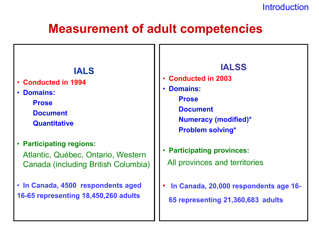#### **Introduction**

# **Measurement of adult competencies**

#### **IALS**

- **Conducted in 1994**
- **Domains:**

**Prose Document Quantitative**

- **Participating regions:** Atlantic, Québec, Ontario, Western Canada (including British Columbia)
- **In Canada, 4500 respondents aged 16-65 representing 18,450,260 adults**

#### **IALSS**

- **Conducted in 2003**
- **Domains: Prose Document Numeracy (modified)\* Problem solving\***
- **Participating provinces:**  All provinces and territories
- **In Canada, 20,000 respondents age 16- 65 representing 21,360,683 adults**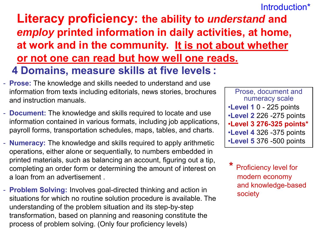#### Introduction\*

### **Literacy proficiency: the ability to** *understand* **and**  *employ* **printed information in daily activities, at home, at work and in the community. It is not about whether or not one can read but how well one reads. 4 Domains, measure skills at five levels :**

- **Prose:** The knowledge and skills needed to understand and use information from texts including editorials, news stories, brochures and instruction manuals.
- **Document:** The knowledge and skills required to locate and use information contained in various formats, including job applications, payroll forms, transportation schedules, maps, tables, and charts.
- **Numeracy:** The knowledge and skills required to apply arithmetic operations, either alone or sequentially, to numbers embedded in printed materials, such as balancing an account, figuring out a tip, completing an order form or determining the amount of interest on a loan from an advertisement .
- **Problem Solving:** Involves goal-directed thinking and action in situations for which no routine solution procedure is available. The understanding of the problem situation and its step-by-step transformation, based on planning and reasoning constitute the process of problem solving. (Only four proficiency levels)

Prose, document and numeracy scale •**Level 1** 0 - 225 points •**Level 2** 226 -275 points •**Level 3 276-325 points\*** •**Level 4** 326 -375 points •**Level 5** 376 -500 points

**Proficiency level for** modern economy and knowledge-based society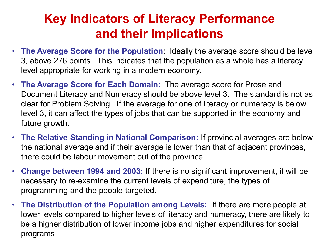# **Key Indicators of Literacy Performance and their Implications**

- **The Average Score for the Population**: Ideally the average score should be level 3, above 276 points. This indicates that the population as a whole has a literacy level appropriate for working in a modern economy.
- **The Average Score for Each Domain:** The average score for Prose and Document Literacy and Numeracy should be above level 3. The standard is not as clear for Problem Solving. If the average for one of literacy or numeracy is below level 3, it can affect the types of jobs that can be supported in the economy and future growth.
- **The Relative Standing in National Comparison:** If provincial averages are below the national average and if their average is lower than that of adjacent provinces, there could be labour movement out of the province.
- **Change between 1994 and 2003:** If there is no significant improvement, it will be necessary to re-examine the current levels of expenditure, the types of programming and the people targeted.
- **The Distribution of the Population among Levels:** If there are more people at lower levels compared to higher levels of literacy and numeracy, there are likely to be a higher distribution of lower income jobs and higher expenditures for social programs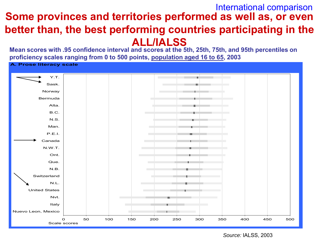#### **Some provinces and territories performed as well as, or even better than, the best performing countries participating in the ALL/IALSS** International comparison

**Mean scores with .95 confidence interval and scores at the 5th, 25th, 75th, and 95th percentiles on proficiency scales ranging from 0 to 500 points, population aged 16 to 65, 2003**

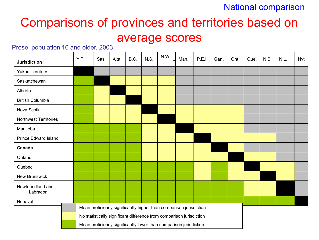#### National comparison

# Comparisons of provinces and territories based on

#### average scores

#### Prose, population 16 and older, 2003

| <b>Jurisdiction</b>          | Y.T. | Sas. | Alta. | B.C. | N.S. | N.W. | Man.                                                                 | P.E.I. | Can. | Ont. | Que. | N.B. | N.L. | Nvt |
|------------------------------|------|------|-------|------|------|------|----------------------------------------------------------------------|--------|------|------|------|------|------|-----|
| <b>Yukon Territory</b>       |      |      |       |      |      |      |                                                                      |        |      |      |      |      |      |     |
| Saskatchewan                 |      |      |       |      |      |      |                                                                      |        |      |      |      |      |      |     |
| Alberta.                     |      |      |       |      |      |      |                                                                      |        |      |      |      |      |      |     |
| <b>British Columbia</b>      |      |      |       |      |      |      |                                                                      |        |      |      |      |      |      |     |
| Nova Scotia                  |      |      |       |      |      |      |                                                                      |        |      |      |      |      |      |     |
| <b>Northwest Territories</b> |      |      |       |      |      |      |                                                                      |        |      |      |      |      |      |     |
| Manitoba                     |      |      |       |      |      |      |                                                                      |        |      |      |      |      |      |     |
| <b>Prince Edward Island</b>  |      |      |       |      |      |      |                                                                      |        |      |      |      |      |      |     |
| Canada                       |      |      |       |      |      |      |                                                                      |        |      |      |      |      |      |     |
| Ontario                      |      |      |       |      |      |      |                                                                      |        |      |      |      |      |      |     |
| Quebec                       |      |      |       |      |      |      |                                                                      |        |      |      |      |      |      |     |
| New Brunswick                |      |      |       |      |      |      |                                                                      |        |      |      |      |      |      |     |
| Newfoundland and<br>Labrador |      |      |       |      |      |      |                                                                      |        |      |      |      |      |      |     |
| Nunavut                      |      |      |       |      |      |      |                                                                      |        |      |      |      |      |      |     |
|                              |      |      |       |      |      |      | Mean proficiency significantly higher than comparison jurisdiction   |        |      |      |      |      |      |     |
|                              |      |      |       |      |      |      | No statistically significant difference from comparison jurisdiction |        |      |      |      |      |      |     |
|                              |      |      |       |      |      |      | Mean proficiency significantly lower than comparison jurisdiction    |        |      |      |      |      |      |     |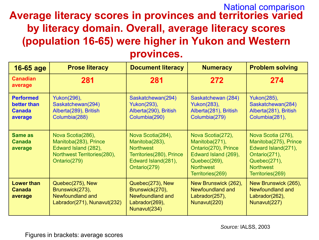#### **Average literacy scores in provinces and territories varied by literacy domain. Overall, average literacy scores (population 16-65) were higher in Yukon and Western provinces.** National comparison

| 16-65 age                                                   | <b>Prose literacy</b>                                                                                             | <b>Document literacy</b>                                                                                                   | <b>Numeracy</b>                                                                                                                             | <b>Problem solving</b>                                                                                                                      |
|-------------------------------------------------------------|-------------------------------------------------------------------------------------------------------------------|----------------------------------------------------------------------------------------------------------------------------|---------------------------------------------------------------------------------------------------------------------------------------------|---------------------------------------------------------------------------------------------------------------------------------------------|
| <b>Canadian</b><br>average                                  | 281                                                                                                               | 281                                                                                                                        | 272                                                                                                                                         | 274                                                                                                                                         |
| <b>Performed</b><br>better than<br><b>Canada</b><br>average | Yukon(296),<br>Saskatchewan(294)<br>Alberta(289), British<br>Columbia(288)                                        | Saskatchewan(294)<br>Yukon(293),<br>Alberta(290), British<br>Columbia(290)                                                 | Saskatchewan (284)<br>Yukon(283),<br>Alberta(281), British<br>Columbia(279)                                                                 | Yukon(285),<br>Saskatchewan(284)<br>Alberta(281), British<br>Columbia(281),                                                                 |
| Same as<br><b>Canada</b><br>average                         | Nova Scotia(286),<br>Manitoba(283), Prince<br>Edward Island (282),<br>Northwest Territories(280),<br>Ontario(279) | Nova Scotia(284),<br>Manitoba(283),<br><b>Northwest</b><br>Territories(280), Prince<br>Edward Island(281),<br>Ontario(279) | Nova Scotia(272),<br>Manitoba(271),<br>Ontario(270), Prince<br>Edward Island (269),<br>Quebec(269),<br><b>Northwest</b><br>Territories(269) | Nova Scotia (276),<br>Manitoba(275), Prince<br>Edward Island(271),<br>Ontario(271),<br>Quebec(271),<br><b>Northwest</b><br>Territories(269) |
| <b>Lower than</b><br><b>Canada</b><br>average               | Quebec(275), New<br>Brunswick(273),<br>Newfoundland and<br>Labrador(271), Nunavut(232)                            | Quebec(273), New<br>Brunswick(270),<br>Newfoundland and<br>Labrador(269),<br>Nunavut(234)                                  | New Brunswick (262),<br><b>Newfoundland and</b><br>Labrador(257),<br>Nunavut(220)                                                           | New Brunswick (265),<br>Newfoundland and<br>Labrador(262),<br>Nunavut(227)                                                                  |

Figures in brackets: average scores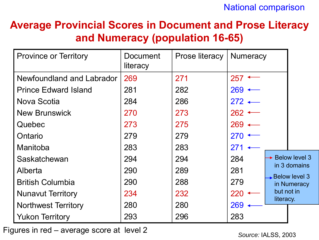### **Average Provincial Scores in Document and Prose Literacy and Numeracy (population 16-65)**

| <b>Province or Territory</b> | <b>Document</b><br>literacy | Prose literacy | <b>Numeracy</b>     |            |                                            |
|------------------------------|-----------------------------|----------------|---------------------|------------|--------------------------------------------|
| Newfoundland and Labrador    | 269                         | 271            | 257                 |            |                                            |
| <b>Prince Edward Island</b>  | 281                         | 282            | $269 \leftarrow$    |            |                                            |
| Nova Scotia                  | 284                         | 286            | $272 \leftarrow$    |            |                                            |
| <b>New Brunswick</b>         | 270                         | 273            | $262$ $\sim$        |            |                                            |
| Quebec                       | 273                         | 275            | $269 \triangleleft$ |            |                                            |
| Ontario                      | 279                         | 279            | 270                 |            |                                            |
| Manitoba                     | 283                         | 283            | 271                 |            |                                            |
| Saskatchewan                 | 294                         | 294            | 284                 |            | $\rightarrow$ Below level 3                |
| Alberta                      | 290                         | 289            | 281                 |            | in 3 domains                               |
| <b>British Columbia</b>      | 290                         | 288            | 279                 |            | $\rightarrow$ Below level 3<br>in Numeracy |
| <b>Nunavut Territory</b>     | 234                         | 232            | 220                 | but not in |                                            |
| <b>Northwest Territory</b>   | 280                         | 280            | 269                 | literacy.  |                                            |
| <b>Yukon Territory</b>       | 293                         | 296            | 283                 |            |                                            |

Figures in red – average score at level 2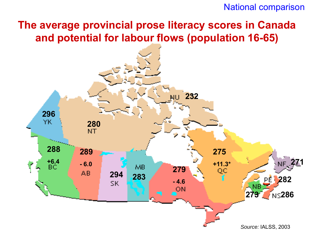#### National comparison

### **The average provincial prose literacy scores in Canada and potential for labour flows (population 16-65)**

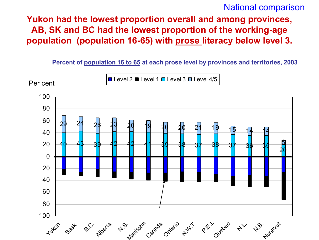#### National comparison

**Yukon had the lowest proportion overall and among provinces, AB, SK and BC had the lowest proportion of the working-age population (population 16-65) with prose literacy below level 3.**

**Percent of population 16 to 65 at each prose level by provinces and territories, 2003**

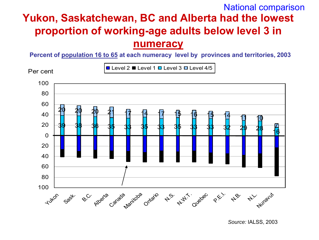### **Yukon, Saskatchewan, BC and Alberta had the lowest proportion of working-age adults below level 3 in numeracy** National comparison

**Percent of population 16 to 65 at each numeracy level by provinces and territories, 2003**

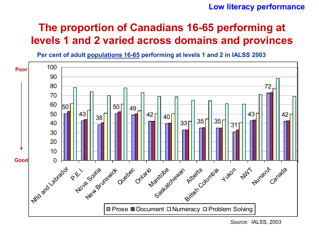#### **Low literacy performance**

### **The proportion of Canadians 16-65 performing at levels 1 and 2 varied across domains and provinces**



**Per cent of adult populations 16-65 performing at levels 1 and 2 in IALSS 2003** 

*Source:* IALSS, 2003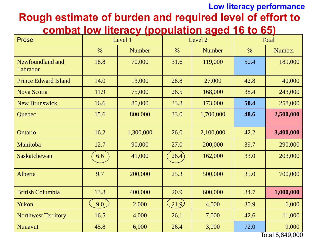### **Rough estimate of burden and required level of effort to Low literacy performance**

#### **combat low literacy (population aged 16 to 65)**

| Prose                        |      | Level 1       |        | Level 2   |      | <b>Total</b>    |
|------------------------------|------|---------------|--------|-----------|------|-----------------|
|                              | $\%$ | <b>Number</b> | $\%$   | Number    | $\%$ | <b>Number</b>   |
| Newfoundland and<br>Labrador | 18.8 | 70,000        | 31.6   | 119,000   | 50.4 | 189,000         |
| <b>Prince Edward Island</b>  | 14.0 | 13,000        | 28.8   | 27,000    | 42.8 | 40,000          |
| <b>Nova Scotia</b>           | 11.9 | 75,000        | 26.5   | 168,000   | 38.4 | 243,000         |
| <b>New Brunswick</b>         | 16.6 | 85,000        | 33.8   | 173,000   | 50.4 | 258,000         |
| Quebec                       | 15.6 | 800,000       | 33.0   | 1,700,000 | 48.6 | 2,500,000       |
| Ontario                      | 16.2 | 1,300,000     | 26.0   | 2,100,000 | 42.2 | 3,400,000       |
| Manitoba                     | 12.7 | 90,000        | 27.0   | 200,000   | 39.7 | 290,000         |
| Saskatchewan                 | 6.6  | 41,000        | 26.4)  | 162,000   | 33.0 | 203,000         |
| Alberta                      | 9.7  | 200,000       | 25.3   | 500,000   | 35.0 | 700,000         |
| <b>British Columbia</b>      | 13.8 | 400,000       | 20.9   | 600,000   | 34.7 | 1,000,000       |
| Yukon                        | 9.0  | 2,000         | (21.9) | 4,000     | 30.9 | 6,000           |
| <b>Northwest Territory</b>   | 16.5 | 4,000         | 26.1   | 7,000     | 42.6 | 11,000          |
| <b>Nunavut</b>               | 45.8 | 6,000         | 26.4   | 3,000     | 72.0 | 9,000           |
|                              |      |               |        |           |      | Total 8.849.000 |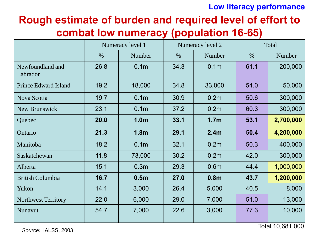#### **Low literacy performance**

### **Rough estimate of burden and required level of effort to combat low numeracy (population 16-65)**

|                              |      | Numeracy level 1 |      | Numeracy level 2 |      | Total     |
|------------------------------|------|------------------|------|------------------|------|-----------|
|                              | $\%$ | Number           | $\%$ | Number           | $\%$ | Number    |
| Newfoundland and<br>Labrador | 26.8 | 0.1 <sub>m</sub> | 34.3 | 0.1 <sub>m</sub> | 61.1 | 200,000   |
| <b>Prince Edward Island</b>  | 19.2 | 18,000           | 34.8 | 33,000           | 54.0 | 50,000    |
| Nova Scotia                  | 19.7 | 0.1 <sub>m</sub> | 30.9 | 0.2 <sub>m</sub> | 50.6 | 300,000   |
| New Brunswick                | 23.1 | 0.1 <sub>m</sub> | 37.2 | 0.2 <sub>m</sub> | 60.3 | 300,000   |
| Quebec                       | 20.0 | 1.0 <sub>m</sub> | 33.1 | 1.7 <sub>m</sub> | 53.1 | 2,700,000 |
| Ontario                      | 21.3 | 1.8 <sub>m</sub> | 29.1 | 2.4 <sub>m</sub> | 50.4 | 4,200,000 |
| Manitoba                     | 18.2 | 0.1 <sub>m</sub> | 32.1 | 0.2 <sub>m</sub> | 50.3 | 400,000   |
| Saskatchewan                 | 11.8 | 73,000           | 30.2 | 0.2 <sub>m</sub> | 42.0 | 300,000   |
| Alberta                      | 15.1 | 0.3 <sub>m</sub> | 29.3 | 0.6 <sub>m</sub> | 44.4 | 1,000,000 |
| <b>British Columbia</b>      | 16.7 | 0.5 <sub>m</sub> | 27.0 | 0.8 <sub>m</sub> | 43.7 | 1,200,000 |
| Yukon                        | 14.1 | 3,000            | 26.4 | 5,000            | 40.5 | 8,000     |
| <b>Northwest Territory</b>   | 22.0 | 6,000            | 29.0 | 7,000            | 51.0 | 13,000    |
| Nunavut                      | 54.7 | 7,000            | 22.6 | 3,000            | 77.3 | 10,000    |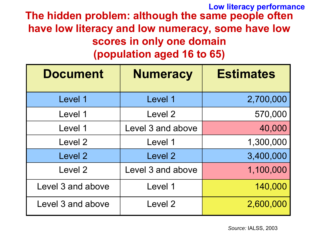**The hidden problem: although the same people often have low literacy and low numeracy, some have low scores in only one domain (population aged 16 to 65) Low literacy performance**

| <b>Document</b>   | <b>Numeracy</b>   | <b>Estimates</b> |
|-------------------|-------------------|------------------|
| Level 1           | Level 1           | 2,700,000        |
| Level 1           | Level 2           | 570,000          |
| Level 1           | Level 3 and above | 40,000           |
| Level 2           | Level 1           | 1,300,000        |
| Level 2           | Level 2           | 3,400,000        |
| Level 2           | Level 3 and above | 1,100,000        |
| Level 3 and above | Level 1           | 140,000          |
| Level 3 and above | Level 2           | 2,600,000        |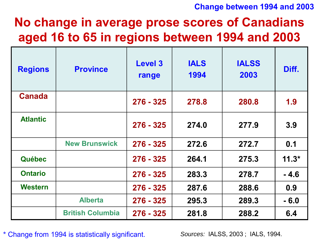#### **Change between 1994 and 2003**

# **No change in average prose scores of Canadians aged 16 to 65 in regions between 1994 and 2003**

| <b>Regions</b>  | <b>Province</b>         | <b>Level 3</b><br>range | <b>IALS</b><br>1994 | <b>IALSS</b><br>2003 | Diff.   |
|-----------------|-------------------------|-------------------------|---------------------|----------------------|---------|
| <b>Canada</b>   |                         | $276 - 325$             | 278.8               | 280.8                | 1.9     |
| <b>Atlantic</b> |                         | $276 - 325$             | 274.0               | 277.9                | 3.9     |
|                 | <b>New Brunswick</b>    | $276 - 325$             | 272.6               | 272.7                | 0.1     |
| <b>Québec</b>   |                         | $276 - 325$             | 264.1               | 275.3                | $11.3*$ |
| <b>Ontario</b>  |                         | $276 - 325$             | 283.3               | 278.7                | $-4.6$  |
| <b>Western</b>  |                         | $276 - 325$             | 287.6               | 288.6                | 0.9     |
|                 | <b>Alberta</b>          | 276 - 325               | 295.3               | 289.3                | $-6.0$  |
|                 | <b>British Columbia</b> | 276 - 325               | 281.8               | 288.2                | 6.4     |

**\*** Change from 1994 is statistically significant.

*Sources:* IALSS, 2003 ; IALS, 1994*.*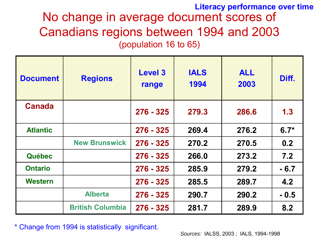### No change in average document scores of Canadians regions between 1994 and 2003 (population 16 to 65) **Literacy performance over time**

| <b>Document</b> | <b>Regions</b>          | <b>Level 3</b><br>range | <b>IALS</b><br>1994 | <b>ALL</b><br>2003 | Diff.  |
|-----------------|-------------------------|-------------------------|---------------------|--------------------|--------|
| <b>Canada</b>   |                         | $276 - 325$             | 279.3               | 286.6              | 1.3    |
| <b>Atlantic</b> |                         | $276 - 325$             | 269.4               | 276.2              | $6.7*$ |
|                 | <b>New Brunswick</b>    | $276 - 325$             | 270.2               | 270.5              | 0.2    |
| <b>Québec</b>   |                         | $276 - 325$             | 266.0               | 273.2              | 7.2    |
| <b>Ontario</b>  |                         | $276 - 325$             | 285.9               | 279.2              | $-6.7$ |
| <b>Western</b>  |                         | $276 - 325$             | 285.5               | 289.7              | 4.2    |
|                 | <b>Alberta</b>          | $276 - 325$             | 290.7               | 290.2              | $-0.5$ |
|                 | <b>British Columbia</b> | $276 - 325$             | 281.7               | 289.9              | 8.2    |

**\*** Change from 1994 is statistically significant.

*Sources:* IALSS, 2003 ; IALS, 1994-1998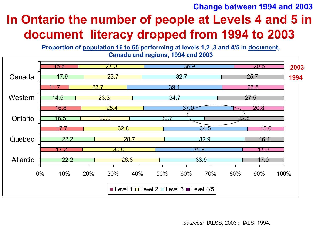#### **Change between 1994 and 2003**

# **In Ontario the number of people at Levels 4 and 5 in document literacy dropped from 1994 to 2003**

**Proportion of population 16 to 65 performing at levels 1,2 ,3 and 4/5 in document, Canada and regions, 1994 and 2003**



*Sources:* IALSS, 2003 ; IALS, 1994.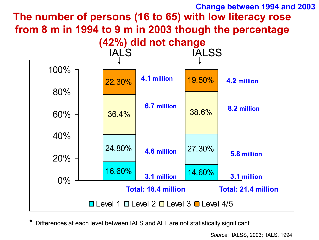#### **The number of persons (16 to 65) with low literacy rose from 8 m in 1994 to 9 m in 2003 though the percentage Change between 1994 and 2003**



Differences at each level between IALS and ALL are not statistically significant

*Source*: IALSS, 2003; IALS, 1994.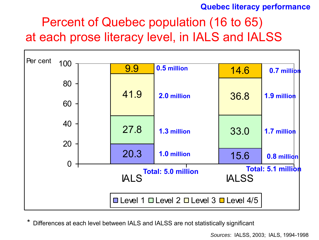#### **Quebec literacy performance**

# Percent of Quebec population (16 to 65) at each prose literacy level, in IALS and IALSS



Differences at each level between IALS and IALSS are not statistically significant

*Sources*: IALSS, 2003; IALS, 1994-1998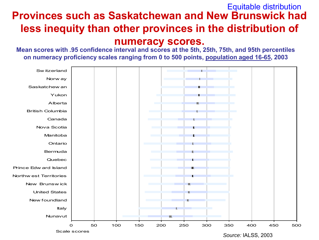#### **Provinces such as Saskatchewan and New Brunswick had less inequity than other provinces in the distribution of**  Equitable distribution

#### **numeracy scores.**

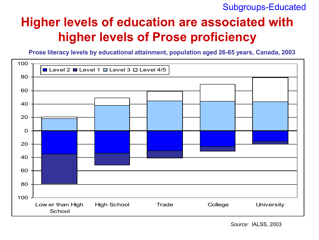#### Subgroups-Educated

# **Higher levels of education are associated with higher levels of Prose proficiency**

**Prose literacy levels by educational attainment, population aged 26-65 years, Canada, 2003**

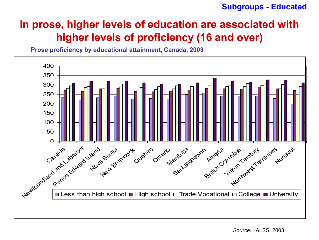#### **Subgroups - Educated**

### **In prose, higher levels of education are associated with higher levels of proficiency (16 and over)**

**Prose proficiency by educational attainment, Canada, 2003**

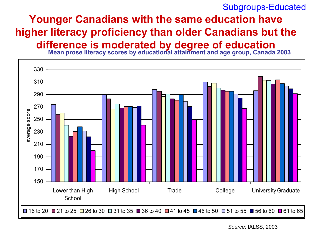#### Subgroups-Educated

### **Younger Canadians with the same education have higher literacy proficiency than older Canadians but the difference is moderated by degree of education**

**Mean prose literacy scores by educational attainment and age group, Canada 2003**

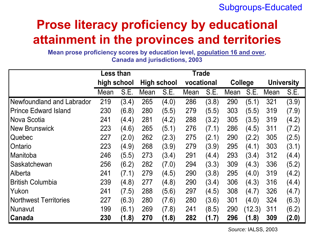#### Subgroups-Educated

# **Prose literacy proficiency by educational attainment in the provinces and territories**

**Mean prose proficiency scores by education level, population 16 and over, Canada and jurisdictions, 2003**

|                              | <b>Less than</b> |       |      |                    | Trade      |       |                |        |      |                   |
|------------------------------|------------------|-------|------|--------------------|------------|-------|----------------|--------|------|-------------------|
|                              | high school      |       |      | <b>High school</b> | vocational |       | <b>College</b> |        |      | <b>University</b> |
|                              | Mean             | S.E.  | Mean | S.E.               | Mean       | S.E.  | Mean           | S.E.   | Mean | S.E.              |
| Newfoundland and Labrador    | 219              | (3.4) | 265  | (4.0)              | 286        | (3.8) | 290            | (5.1)  | 321  | (3.9)             |
| <b>Prince Edward Island</b>  | 230              | (6.8) | 280  | (5.5)              | 279        | (5.5) | 303            | (5.5)  | 319  | (7.9)             |
| Nova Scotia                  | 241              | (4.4) | 281  | (4.2)              | 288        | (3.2) | 305            | (3.5)  | 319  | (4.2)             |
| <b>New Brunswick</b>         | 223              | (4.6) | 265  | (5.1)              | 276        | (7.1) | 286            | (4.5)  | 311  | (7.2)             |
| Quebec                       | 227              | (2.0) | 262  | (2.3)              | 275        | (2.1) | 290            | (2.2)  | 305  | (2.5)             |
| Ontario                      | 223              | (4.9) | 268  | (3.9)              | 279        | (3.9) | 295            | (4.1)  | 303  | (3.1)             |
| Manitoba                     | 246              | (5.5) | 273  | (3.4)              | 291        | (4.4) | 293            | (3.4)  | 312  | (4.4)             |
| Saskatchewan                 | 256              | (6.2) | 282  | (7.0)              | 294        | (3.3) | 309            | (4.3)  | 336  | (5.2)             |
| Alberta                      | 241              | (7.1) | 279  | (4.5)              | 290        | (3.8) | 295            | (4.0)  | 319  | (4.2)             |
| <b>British Columbia</b>      | 239              | (4.8) | 277  | (4.8)              | 290        | (3.4) | 306            | (4.3)  | 316  | (4.4)             |
| Yukon                        | 241              | (7.5) | 288  | (5.6)              | 297        | (4.5) | 308            | (4.7)  | 326  | (4.7)             |
| <b>Northwest Territories</b> | 227              | (6.3) | 280  | (7.6)              | 280        | (3.6) | 301            | (4.0)  | 324  | (6.3)             |
| l Nunavut                    | 199              | (6.1) | 269  | (7.8)              | 241        | (8.5) | 290            | (12.3) | 311  | (6.2)             |
| Canada                       | 230              | (1.8) | 270  | (1.8)              | 282        | (1.7) | 296            | (1.8)  | 309  | (2.0)             |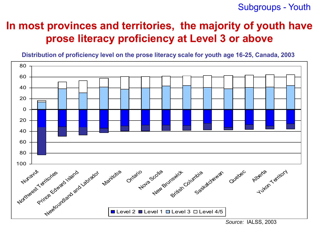Subgroups - Youth

### **In most provinces and territories, the majority of youth have prose literacy proficiency at Level 3 or above**

**Distribution of proficiency level on the prose literacy scale for youth age 16-25, Canada, 2003**

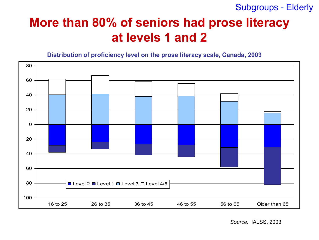Subgroups - Elderly

# **More than 80% of seniors had prose literacy at levels 1 and 2**

**Distribution of proficiency level on the prose literacy scale, Canada, 2003**

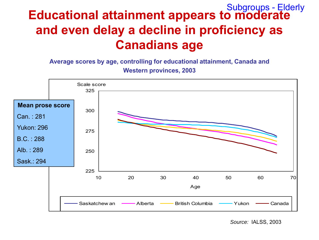### **Educational attainment appears to moderate and even delay a decline in proficiency as Canadians age** Subgroups - Elderly

**Average scores by age, controlling for educational attainment, Canada and Western provinces, 2003**

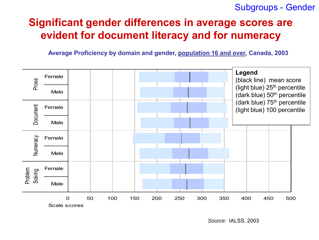#### Subgroups - Gender

### **Significant gender differences in average scores are evident for document literacy and for numeracy**

**Average Proficiency by domain and gender, population 16 and over, Canada, 2003**

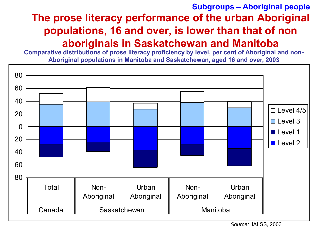### **The prose literacy performance of the urban Aboriginal populations, 16 and over, is lower than that of non aboriginals in Saskatchewan and Manitoba Subgroups – Aboriginal people**

**Comparative distributions of prose literacy proficiency by level, per cent of Aboriginal and non-Aboriginal populations in Manitoba and Saskatchewan, aged 16 and over, 2003**

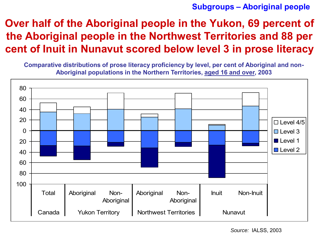#### **Subgroups – Aboriginal people**

### **Over half of the Aboriginal people in the Yukon, 69 percent of the Aboriginal people in the Northwest Territories and 88 per cent of Inuit in Nunavut scored below level 3 in prose literacy**

**Comparative distributions of prose literacy proficiency by level, per cent of Aboriginal and non-Aboriginal populations in the Northern Territories, aged 16 and over, 2003**

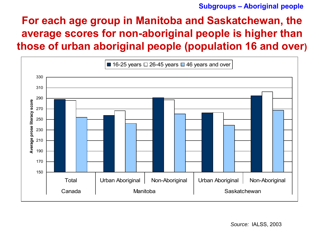#### **Subgroups – Aboriginal people**

### **For each age group in Manitoba and Saskatchewan, the average scores for non-aboriginal people is higher than those of urban aboriginal people (population 16 and over)**

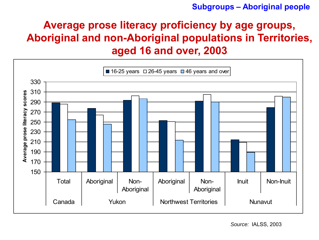#### **Subgroups – Aboriginal people**

### **Average prose literacy proficiency by age groups, Aboriginal and non-Aboriginal populations in Territories, aged 16 and over, 2003**

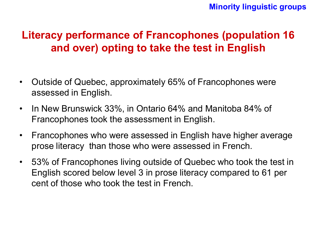### **Literacy performance of Francophones (population 16 and over) opting to take the test in English**

- Outside of Quebec, approximately 65% of Francophones were assessed in English.
- In New Brunswick 33%, in Ontario 64% and Manitoba 84% of Francophones took the assessment in English.
- Francophones who were assessed in English have higher average prose literacy than those who were assessed in French.
- 53% of Francophones living outside of Quebec who took the test in English scored below level 3 in prose literacy compared to 61 per cent of those who took the test in French.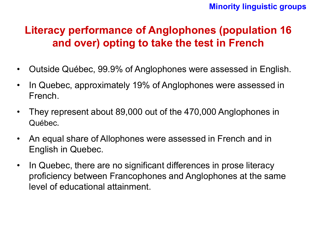#### **Minority linguistic groups**

### **Literacy performance of Anglophones (population 16 and over) opting to take the test in French**

- Outside Québec, 99.9% of Anglophones were assessed in English.
- In Quebec, approximately 19% of Anglophones were assessed in French.
- They represent about 89,000 out of the 470,000 Anglophones in Québec.
- An equal share of Allophones were assessed in French and in English in Quebec.
- In Quebec, there are no significant differences in prose literacy proficiency between Francophones and Anglophones at the same level of educational attainment.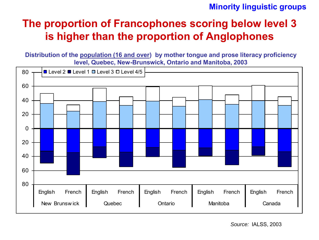#### **Minority linguistic groups**

### **The proportion of Francophones scoring below level 3 is higher than the proportion of Anglophones**

**Distribution of the population (16 and over) by mother tongue and prose literacy proficiency level, Quebec, New-Brunswick, Ontario and Manitoba, 2003** 

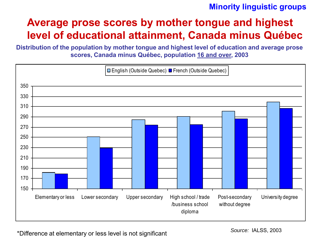#### **Minority linguistic groups**

### **Average prose scores by mother tongue and highest level of educational attainment, Canada minus Québec**

**Distribution of the population by mother tongue and highest level of education and average prose scores, Canada minus Québec, population 16 and over, 2003**



\*Difference at elementary or less level is not significant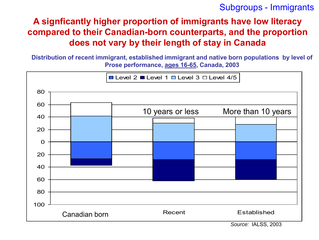Subgroups - Immigrants

#### **A signficantly higher proportion of immigrants have low literacy compared to their Canadian-born counterparts, and the proportion does not vary by their length of stay in Canada**

**Distribution of recent immigrant, established immigrant and native born populations by level of Prose performance, ages 16-65, Canada, 2003**

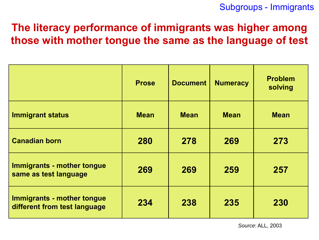### **The literacy performance of immigrants was higher among those with mother tongue the same as the language of test**

|                                                            | <b>Prose</b> | <b>Document</b> | <b>Numeracy</b> | <b>Problem</b><br>solving |
|------------------------------------------------------------|--------------|-----------------|-----------------|---------------------------|
| <b>Immigrant status</b>                                    | <b>Mean</b>  | <b>Mean</b>     | <b>Mean</b>     | <b>Mean</b>               |
| <b>Canadian born</b>                                       | 280          | 278             | 269             | 273                       |
| Immigrants - mother tongue<br>same as test language        | 269          | 269             | 259             | 257                       |
| Immigrants - mother tongue<br>different from test language | 234          | 238             | 235             | 230                       |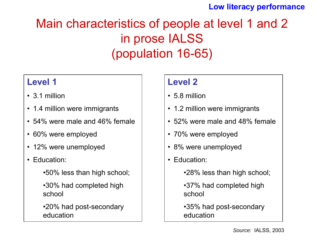#### **Low literacy performance**

# Main characteristics of people at level 1 and 2 in prose IALSS (population 16-65)

#### **Level 1**

- 3.1 million
- 1.4 million were immigrants
- 54% were male and 46% female
- 60% were employed
- 12% were unemployed
- Education:
	- •50% less than high school;
	- •30% had completed high school
	- •20% had post-secondary education

#### **Level 2**

- 5.8 million
- 1.2 million were immigrants
- 52% were male and 48% female
- 70% were employed
- 8% were unemployed
- Education:
	- •28% less than high school;
	- •37% had completed high school
	- •35% had post-secondary education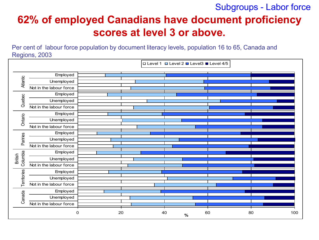Subgroups - Labor force

### **62% of employed Canadians have document proficiency scores at level 3 or above.**

Per cent of labour force population by document literacy levels, population 16 to 65, Canada and Regions, 2003

|                 |                         |    | □ Level 1 □ Level 2 ■ Level 3 ■ Level 4/5 |    |    |     |
|-----------------|-------------------------|----|-------------------------------------------|----|----|-----|
|                 | Employed                |    |                                           |    |    |     |
| <b>Atlantic</b> | Unemployed              |    |                                           |    |    |     |
|                 | Not in the labour force |    |                                           |    |    |     |
|                 | Employed                |    |                                           |    |    |     |
| Quebec          | Unemployed              |    |                                           |    |    |     |
|                 | Not in the labour force |    |                                           |    |    |     |
|                 | Employed                |    |                                           |    |    |     |
| Ontario         | Unemployed              |    |                                           |    |    |     |
|                 | Not in the labour force |    |                                           |    |    |     |
|                 | Employed                |    |                                           |    |    |     |
| Pariries        | Unemployed              |    |                                           |    |    |     |
|                 | Not in the labour force |    |                                           |    |    |     |
| Columbia        | Employed                |    |                                           |    |    |     |
| British         | Unemployed              |    |                                           |    |    |     |
|                 | Not in the labour force |    |                                           |    |    |     |
| Territories     | Employed                |    |                                           |    |    |     |
|                 | Unemployed              |    |                                           |    |    |     |
|                 | Not in the labour force |    |                                           |    |    |     |
|                 | Employed                |    |                                           |    |    |     |
| Canada          | Unemployed              |    |                                           |    |    |     |
|                 | Not in the labour force |    |                                           |    |    |     |
|                 | 0                       | 20 | 40<br>$\%$                                | 60 | 80 | 100 |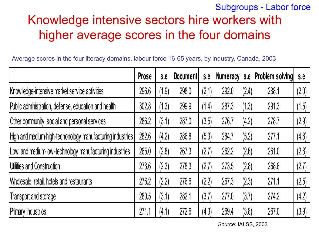### Knowledge intensive sectors hire workers with higher average scores in the four domains Subgroups - Labor force

|                                                           | Prose | S.E   | Document | S.E   | Numeracy s.e |       | <b>Problem solving</b> | S.E   |
|-----------------------------------------------------------|-------|-------|----------|-------|--------------|-------|------------------------|-------|
| Know ledge-intensive market service activities            | 296.6 | (1.9) | 298.0    | (2.1) | 292.0        | (2.4) | 288.1                  | (2.0) |
| Public administration, defense, education and health      | 302.8 | (1.3) | 299.9    | (1.4) | 287.3        | (1.3) | 291.3                  | (1.5) |
| Other community, social and personal services             | 286.2 | (3.1) | 287.0    | (3.5) | 276.7        | (4.2) | 278.7                  | (2.9) |
| High and medium-high-techonology manufacturing industries | 282.6 | (4.2) | 286.8    | (5.3) | 284.7        | (5.2) | 277.1                  | (4.8) |
| Low and medium-low-technology manufacturing industries    | 265.0 | (2.8) | 267.3    | (2.7) | 262.2        | (2.6) | 261.0                  | (2.8) |
| Utilities and Construction                                | 273.6 | (2.3) | 278.3    | (2.7) | 273.5        | (2.8) | 268.6                  | (2.7) |
| Wholesale, retail, hotels and restaurants                 | 276.2 | (2.2) | 276.6    | (2.2) | 267.3        | (2.3) | 271.1                  | (2.5) |
| Transport and storage                                     | 280.5 | (3.1) | 282.1    | (3.7) | 277.0        | (3.7) | 274.2                  | (4.2) |
| <b>Primary industries</b>                                 | 271.1 | (4.1) | 272.6    | (4.3) | 269.4        | (3.8) | 267.0                  | (3.9) |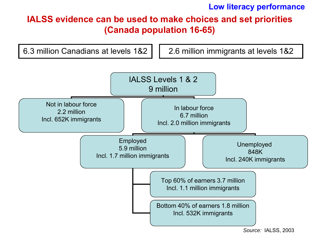**Low literacy performance**

#### **IALSS evidence can be used to make choices and set priorities (Canada population 16-65)**



*Source:* IALSS, 2003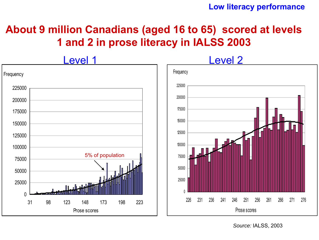#### **Low literacy performance**

### **About 9 million Canadians (aged 16 to 65) scored at levels 1 and 2 in prose literacy in IALSS 2003**

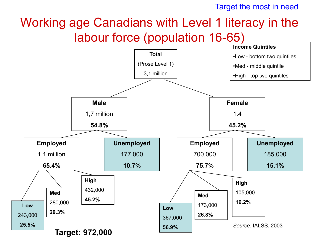Target the most in need

# Working age Canadians with Level 1 literacy in the labour force (population 16-65)

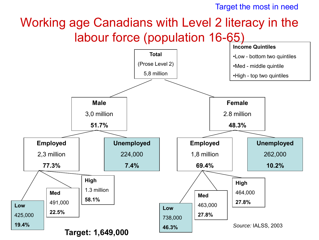Target the most in need

# Working age Canadians with Level 2 literacy in the labour force (population 16-65)

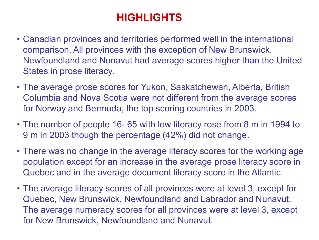- Canadian provinces and territories performed well in the international comparison. All provinces with the exception of New Brunswick, Newfoundland and Nunavut had average scores higher than the United States in prose literacy.
- The average prose scores for Yukon, Saskatchewan, Alberta, British Columbia and Nova Scotia were not different from the average scores for Norway and Bermuda, the top scoring countries in 2003.
- The number of people 16- 65 with low literacy rose from 8 m in 1994 to 9 m in 2003 though the percentage (42%) did not change.
- There was no change in the average literacy scores for the working age population except for an increase in the average prose literacy score in Quebec and in the average document literacy score in the Atlantic.
- The average literacy scores of all provinces were at level 3, except for Quebec, New Brunswick, Newfoundland and Labrador and Nunavut. The average numeracy scores for all provinces were at level 3, except for New Brunswick, Newfoundland and Nunavut.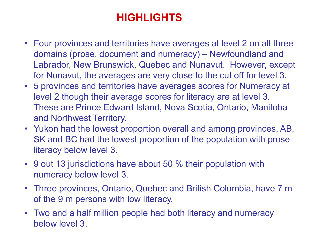- Four provinces and territories have averages at level 2 on all three domains (prose, document and numeracy) – Newfoundland and Labrador, New Brunswick, Quebec and Nunavut. However, except for Nunavut, the averages are very close to the cut off for level 3.
- 5 provinces and territories have averages scores for Numeracy at level 2 though their average scores for literacy are at level 3. These are Prince Edward Island, Nova Scotia, Ontario, Manitoba and Northwest Territory.
- Yukon had the lowest proportion overall and among provinces, AB, SK and BC had the lowest proportion of the population with prose literacy below level 3.
- 9 out 13 jurisdictions have about 50 % their population with numeracy below level 3.
- Three provinces, Ontario, Quebec and British Columbia, have 7 m of the 9 m persons with low literacy.
- Two and a half million people had both literacy and numeracy below level 3.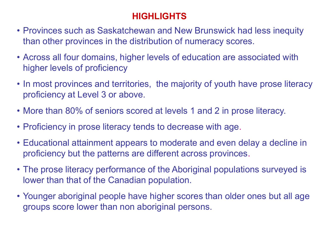- Provinces such as Saskatchewan and New Brunswick had less inequity than other provinces in the distribution of numeracy scores.
- Across all four domains, higher levels of education are associated with higher levels of proficiency
- In most provinces and territories, the majority of youth have prose literacy proficiency at Level 3 or above.
- More than 80% of seniors scored at levels 1 and 2 in prose literacy.
- Proficiency in prose literacy tends to decrease with age.
- Educational attainment appears to moderate and even delay a decline in proficiency but the patterns are different across provinces.
- The prose literacy performance of the Aboriginal populations surveyed is lower than that of the Canadian population.
- Younger aboriginal people have higher scores than older ones but all age groups score lower than non aboriginal persons.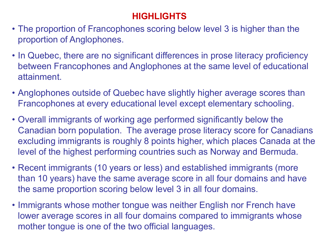- The proportion of Francophones scoring below level 3 is higher than the proportion of Anglophones.
- In Quebec, there are no significant differences in prose literacy proficiency between Francophones and Anglophones at the same level of educational attainment.
- Anglophones outside of Quebec have slightly higher average scores than Francophones at every educational level except elementary schooling.
- Overall immigrants of working age performed significantly below the Canadian born population. The average prose literacy score for Canadians excluding immigrants is roughly 8 points higher, which places Canada at the level of the highest performing countries such as Norway and Bermuda.
- Recent immigrants (10 years or less) and established immigrants (more than 10 years) have the same average score in all four domains and have the same proportion scoring below level 3 in all four domains.
- Immigrants whose mother tongue was neither English nor French have lower average scores in all four domains compared to immigrants whose mother tongue is one of the two official languages.